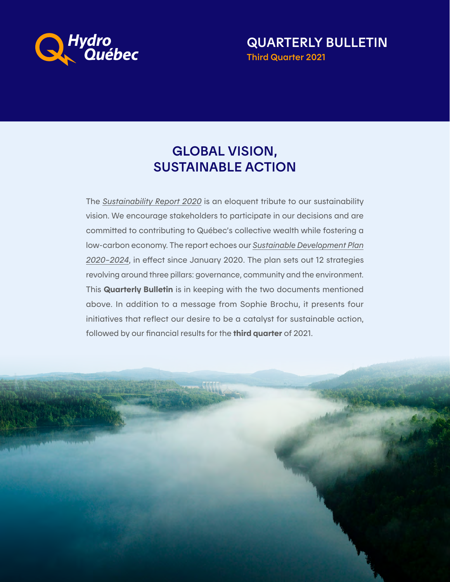

QUARTERLY BULLETIN Third Quarter 2021

# GLOBAL VISION, SUSTAINABLE ACTION

The *[Sustainability Report 2020](https://www.hydroquebec.com/sustainable-development/#bloc-rapport)* is an eloquent tribute to our sustainability vision. We encourage stakeholders to participate in our decisions and are committed to contributing to Québec's collective wealth while fostering a low-carbon economy. The report echoes our *[Sustainable Development Plan](https://www.hydroquebec.com/sustainable-development/developpment-plan.html) [2020–2024](https://www.hydroquebec.com/sustainable-development/developpment-plan.html)*, in effect since January 2020. The plan sets out 12 strategies revolving around three pillars: governance, community and the environment. This Quarterly Bulletin is in keeping with the two documents mentioned above. In addition to a message from Sophie Brochu, it presents four initiatives that reflect our desire to be a catalyst for sustainable action, followed by our financial results for the **third quarter** of 2021.

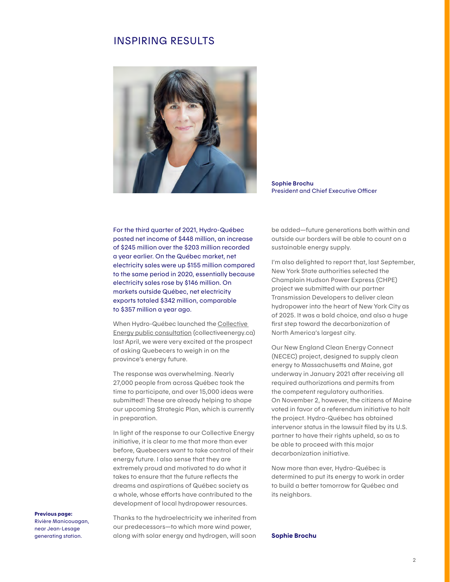## INSPIRING RESULTS



Sophie Brochu President and Chief Executive Officer

For the third quarter of 2021, Hydro-Québec posted net income of \$448 million, an increase of \$245 million over the \$203 million recorded a year earlier. On the Québec market, net electricity sales were up \$155 million compared to the same period in 2020, essentially because electricity sales rose by \$146 million. On markets outside Québec, net electricity exports totaled \$342 million, comparable to \$357 million a year ago.

When Hydro-Québec launched the [Collective](http://collectiveenergy.ca)  [Energy public consultation](http://collectiveenergy.ca) (collectiveenergy.ca) last April, we were very excited at the prospect of asking Quebecers to weigh in on the province's energy future.

The response was overwhelming. Nearly 27,000 people from across Québec took the time to participate, and over 15,000 ideas were submitted! These are already helping to shape our upcoming Strategic Plan, which is currently in preparation.

In light of the response to our Collective Energy initiative, it is clear to me that more than ever before, Quebecers want to take control of their energy future. I also sense that they are extremely proud and motivated to do what it takes to ensure that the future reflects the dreams and aspirations of Québec society as a whole, whose efforts have contributed to the development of local hydropower resources.

#### Previous page:

Rivière Manicouagan, near Jean-Lesage generating station.

Thanks to the hydroelectricity we inherited from our predecessors—to which more wind power, along with solar energy and hydrogen, will soon

be added—future generations both within and outside our borders will be able to count on a sustainable energy supply.

I'm also delighted to report that, last September, New York State authorities selected the Champlain Hudson Power Express (CHPE) project we submitted with our partner Transmission Developers to deliver clean hydropower into the heart of New York City as of 2025. It was a bold choice, and also a huge first step toward the decarbonization of North America's largest city.

Our New England Clean Energy Connect (NECEC) project, designed to supply clean energy to Massachusetts and Maine, got underway in January 2021 after receiving all required authorizations and permits from the competent regulatory authorities. On November 2, however, the citizens of Maine voted in favor of a referendum initiative to halt the project. Hydro-Québec has obtained intervenor status in the lawsuit filed by its U.S. partner to have their rights upheld, so as to be able to proceed with this major decarbonization initiative.

Now more than ever, Hydro-Québec is determined to put its energy to work in order to build a better tomorrow for Québec and its neighbors.

Sophie Brochu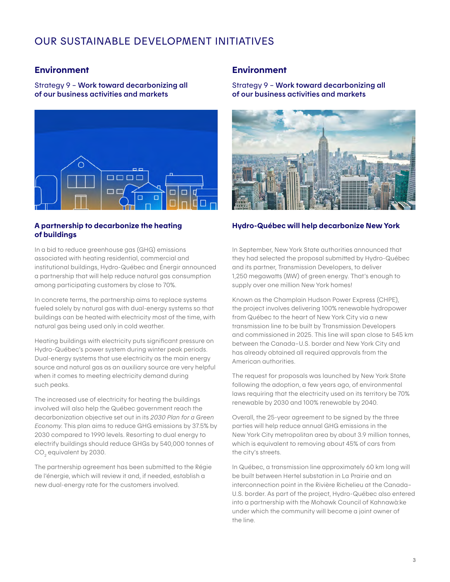## OUR SUSTAINABLE DEVELOPMENT INITIATIVES

## **Environment**

Strategy 9 – Work toward decarbonizing all of our business activities and markets



## A partnership to decarbonize the heating of buildings

In a bid to reduce greenhouse gas (GHG) emissions associated with heating residential, commercial and institutional buildings, Hydro-Québec and Énergir announced a partnership that will help reduce natural gas consumption among participating customers by close to 70%.

In concrete terms, the partnership aims to replace systems fueled solely by natural gas with dual-energy systems so that buildings can be heated with electricity most of the time, with natural gas being used only in cold weather.

Heating buildings with electricity puts significant pressure on Hydro-Québec's power system during winter peak periods. Dual-energy systems that use electricity as the main energy source and natural gas as an auxiliary source are very helpful when it comes to meeting electricity demand during such peaks.

The increased use of electricity for heating the buildings involved will also help the Québec government reach the decarbonization objective set out in its *2030 Plan for a Green Economy*. This plan aims to reduce GHG emissions by 37.5% by 2030 compared to 1990 levels. Resorting to dual energy to electrify buildings should reduce GHGs by 540,000 tonnes of CO<sub>2</sub> equivalent by 2030.

The partnership agreement has been submitted to the Régie de l'énergie, which will review it and, if needed, establish a new dual-energy rate for the customers involved.

## **Environment**

Strategy 9 – Work toward decarbonizing all of our business activities and markets



#### Hydro-Québec will help decarbonize New York

In September, New York State authorities announced that they had selected the proposal submitted by Hydro-Québec and its partner, Transmission Developers, to deliver 1,250 megawatts (MW) of green energy. That's enough to supply over one million New York homes!

Known as the Champlain Hudson Power Express (CHPE), the project involves delivering 100% renewable hydropower from Québec to the heart of New York City via a new transmission line to be built by Transmission Developers and commissioned in 2025. This line will span close to 545 km between the Canada–U.S. border and New York City and has already obtained all required approvals from the American authorities.

The request for proposals was launched by New York State following the adoption, a few years ago, of environmental laws requiring that the electricity used on its territory be 70% renewable by 2030 and 100% renewable by 2040.

Overall, the 25-year agreement to be signed by the three parties will help reduce annual GHG emissions in the New York City metropolitan area by about 3.9 million tonnes, which is equivalent to removing about 45% of cars from the city's streets.

In Québec, a transmission line approximately 60 km long will be built between Hertel substation in La Prairie and an interconnection point in the Rivière Richelieu at the Canada– U.S. border. As part of the project, Hydro-Québec also entered into a partnership with the Mohawk Council of Kahnawà:ke under which the community will become a joint owner of the line.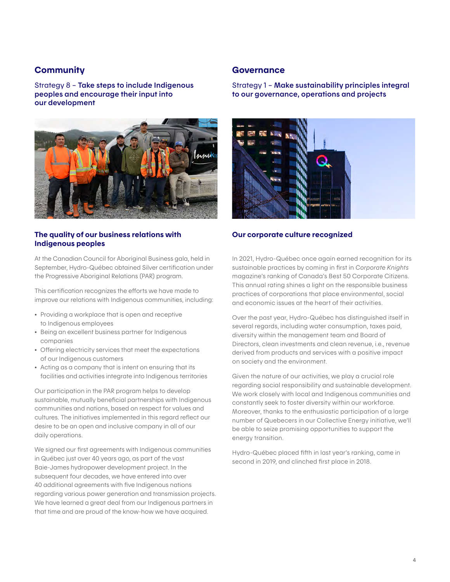## **Community**

Strategy 8 – Take steps to include Indigenous peoples and encourage their input into our development



## The quality of our business relations with Indigenous peoples

At the Canadian Council for Aboriginal Business gala, held in September, Hydro-Québec obtained Silver certification under the Progressive Aboriginal Relations (PAR) program.

This certification recognizes the efforts we have made to improve our relations with Indigenous communities, including:

- Providing a workplace that is open and receptive to Indigenous employees
- Being an excellent business partner for Indigenous companies
- Offering electricity services that meet the expectations of our Indigenous customers
- Acting as a company that is intent on ensuring that its facilities and activities integrate into Indigenous territories

Our participation in the PAR program helps to develop sustainable, mutually beneficial partnerships with Indigenous communities and nations, based on respect for values and cultures. The initiatives implemented in this regard reflect our desire to be an open and inclusive company in all of our daily operations.

We signed our first agreements with Indigenous communities in Québec just over 40 years ago, as part of the vast Baie-James hydropower development project. In the subsequent four decades, we have entered into over 40 additional agreements with five Indigenous nations regarding various power generation and transmission projects. We have learned a great deal from our Indigenous partners in that time and are proud of the know-how we have acquired.

## **Governance**

Strategy 1 – Make sustainability principles integral to our governance, operations and projects



#### Our corporate culture recognized

In 2021, Hydro-Québec once again earned recognition for its sustainable practices by coming in first in *Corporate Knights* magazine's ranking of Canada's Best 50 Corporate Citizens. This annual rating shines a light on the responsible business practices of corporations that place environmental, social and economic issues at the heart of their activities.

Over the past year, Hydro-Québec has distinguished itself in several regards, including water consumption, taxes paid, diversity within the management team and Board of Directors, clean investments and clean revenue, i.e., revenue derived from products and services with a positive impact on society and the environment.

Given the nature of our activities, we play a crucial role regarding social responsibility and sustainable development. We work closely with local and Indigenous communities and constantly seek to foster diversity within our workforce. Moreover, thanks to the enthusiastic participation of a large number of Quebecers in our Collective Energy initiative, we'll be able to seize promising opportunities to support the energy transition.

Hydro-Québec placed fifth in last year's ranking, came in second in 2019, and clinched first place in 2018.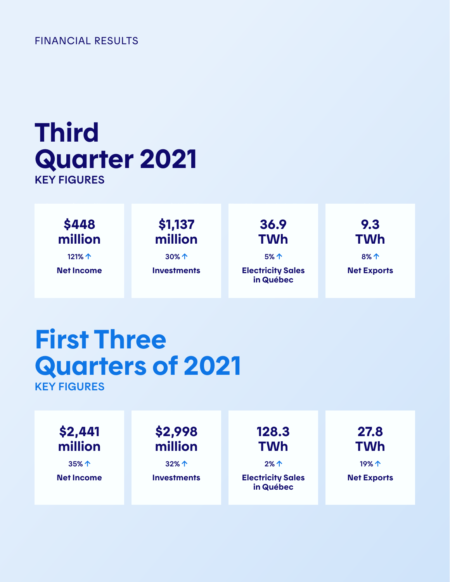## FINANCIAL RESULTS

# Third Quarter 2021 KEY FIGURES

\$448 million 121% 个

Net Income

# \$1,137 million

30%

**Investments** 

36.9 TWh

5% Electricity Sales in Québec

9.3 TWh 8%

Net Exports

# First Three Quarters of 2021 KEY FIGURES

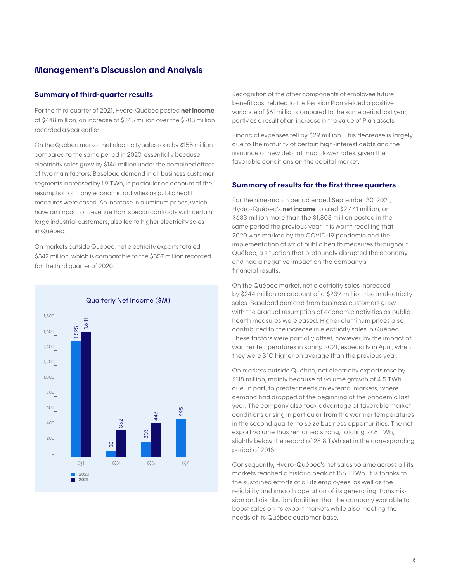## Management's Discussion and Analysis

#### Summary of third-quarter results

For the third quarter of 2021, Hydro-Québec posted net income of \$448 million, an increase of \$245 million over the \$203 million recorded a year earlier.

On the Québec market, net electricity sales rose by \$155 million compared to the same period in 2020, essentially because electricity sales grew by \$146 million under the combined effect of two main factors. Baseload demand in all business customer segments increased by 1.9 TWh, in particular on account of the resumption of many economic activities as public health measures were eased. An increase in aluminum prices, which have an impact on revenue from special contracts with certain large industrial customers, also led to higher electricity sales in Québec.

On markets outside Québec, net electricity exports totaled \$342 million, which is comparable to the \$357 million recorded for the third quarter of 2020.



Recognition of the other components of employee future benefit cost related to the Pension Plan yielded a positive variance of \$61 million compared to the same period last year, partly as a result of an increase in the value of Plan assets.

Financial expenses fell by \$29 million. This decrease is largely due to the maturity of certain high-interest debts and the issuance of new debt at much lower rates, given the favorable conditions on the capital market.

#### Summary of results for the first three quarters

For the nine-month period ended September 30, 2021, Hydro-Québec's **net income** totaled \$2,441 million, or \$633 million more than the \$1,808 million posted in the same period the previous year. It is worth recalling that 2020 was marked by the COVID-19 pandemic and the implementation of strict public health measures throughout Québec, a situation that profoundly disrupted the economy and had a negative impact on the company's financial results.

On the Québec market, net electricity sales increased by \$244 million on account of a \$239-million rise in electricity sales. Baseload demand from business customers grew with the gradual resumption of economic activities as public health measures were eased. Higher aluminum prices also contributed to the increase in electricity sales in Québec. These factors were partially offset, however, by the impact of warmer temperatures in spring 2021, especially in April, when they were 3°C higher on average than the previous year.

On markets outside Québec, net electricity exports rose by \$118 million, mainly because of volume growth of 4.5 TWh due, in part, to greater needs on external markets, where demand had dropped at the beginning of the pandemic last year. The company also took advantage of favorable market conditions arising in particular from the warmer temperatures in the second quarter to seize business opportunities. The net export volume thus remained strong, totaling 27.8 TWh, slightly below the record of 28.8 TWh set in the corresponding period of 2018.

Consequently, Hydro-Québec's net sales volume across all its markets reached a historic peak of 156.1 TWh. It is thanks to the sustained efforts of all its employees, as well as the reliability and smooth operation of its generating, transmission and distribution facilities, that the company was able to boost sales on its export markets while also meeting the needs of its Québec customer base.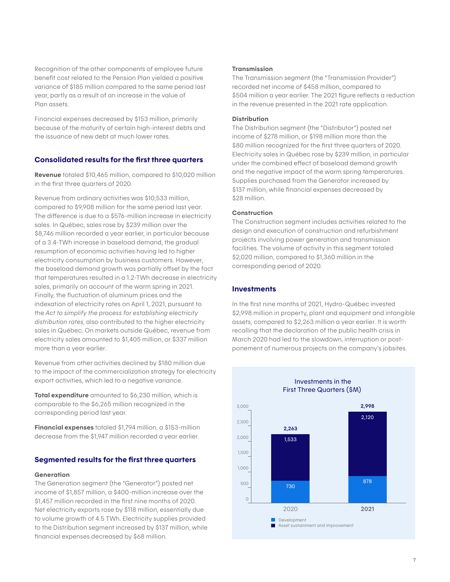Recognition of the other components of employee future benefit cost related to the Pension Plan yielded a positive variance of \$185 million compared to the same period last year, partly as a result of an increase in the value of Plan assets.

Financial expenses decreased by \$153 million, primarily because of the maturity of certain high-interest debts and the issuance of new debt at much lower rates.

## Consolidated results for the first three quarters

Revenue totaled \$10,465 million, compared to \$10,020 million in the first three quarters of 2020.

Revenue from ordinary activities was \$10,533 million, compared to \$9,908 million for the same period last year. The difference is due to a \$576-million increase in electricity sales. In Québec, sales rose by \$239 million over the \$8,746 million recorded a year earlier, in particular because of a 3.4-TWh increase in baseload demand, the gradual resumption of economic activities having led to higher electricity consumption by business customers. However, the baseload demand growth was partially offset by the fact that temperatures resulted in a 1.2-TWh decrease in electricity sales, primarily on account of the warm spring in 2021. Finally, the fluctuation of aluminum prices and the indexation of electricity rates on April 1, 2021, pursuant to the *Act to simplify the process for establishing electricity distribution rates*, also contributed to the higher electricity sales in Québec. On markets outside Québec, revenue from electricity sales amounted to \$1,405 million, or \$337 million more than a year earlier.

Revenue from other activities declined by \$180 million due to the impact of the commercialization strategy for electricity export activities, which led to a negative variance.

Total expenditure amounted to \$6,230 million, which is comparable to the \$6,265 million recognized in the corresponding period last year.

Financial expenses totaled \$1,794 million, a \$153-million decrease from the \$1,947 million recorded a year earlier.

## Segmented results for the first three quarters

#### **Generation**

The Generation segment (the "Generator") posted net income of \$1,857 million, a \$400-million increase over the \$1,457 million recorded in the first nine months of 2020. Net electricity exports rose by \$118 million, essentially due to volume growth of 4.5 TWh. Electricity supplies provided to the Distribution segment increased by \$137 million, while financial expenses decreased by \$68 million.

#### Transmission

The Transmission segment (the "Transmission Provider") recorded net income of \$458 million, compared to \$504 million a year earlier. The 2021 figure reflects a reduction in the revenue presented in the 2021 rate application.

#### **Distribution**

The Distribution segment (the "Distributor") posted net income of \$278 million, or \$198 million more than the \$80 million recognized for the first three quarters of 2020. Electricity sales in Québec rose by \$239 million, in particular under the combined effect of baseload demand growth and the negative impact of the warm spring temperatures. Supplies purchased from the Generator increased by \$137 million, while financial expenses decreased by \$28 million.

#### **Construction**

The Construction segment includes activities related to the design and execution of construction and refurbishment projects involving power generation and transmission facilities. The volume of activity in this segment totaled \$2,020 million, compared to \$1,360 million in the corresponding period of 2020.

#### **Investments**

In the first nine months of 2021, Hydro-Québec invested \$2,998 million in property, plant and equipment and intangible assets, compared to \$2,263 million a year earlier. It is worth recalling that the declaration of the public health crisis in March 2020 had led to the slowdown, interruption or postponement of numerous projects on the company's jobsites.

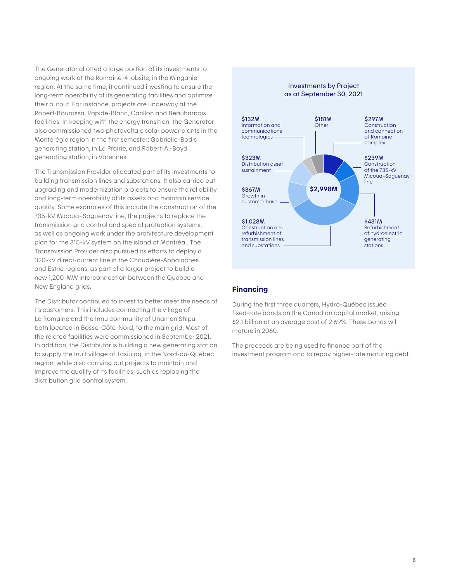The Generator allotted a large portion of its investments to ongoing work at the Romaine-4 jobsite, in the Minganie region. At the same time, it continued investing to ensure the long-term operability of its generating facilities and optimize their output. For instance, projects are underway at the Robert-Bourassa, Rapide-Blanc, Carillon and Beauharnois facilities. In keeping with the energy transition, the Generator also commissioned two photovoltaic solar power plants in the Montérégie region in the first semester: Gabrielle-Bodis generating station, in La Prairie, and Robert-A.-Boyd generating station, in Varennes.

The Transmission Provider allocated part of its investments to building transmission lines and substations. It also carried out upgrading and modernization projects to ensure the reliability and long-term operability of its assets and maintain service quality. Some examples of this include the construction of the 735-kV Micoua–Saguenay line, the projects to replace the transmission grid control and special protection systems, as well as ongoing work under the architecture development plan for the 315-kV system on the island of Montréal. The Transmission Provider also pursued its efforts to deploy a 320-kV direct-current line in the Chaudière-Appalaches and Estrie regions, as part of a larger project to build a new 1,200-MW interconnection between the Québec and New England grids.

The Distributor continued to invest to better meet the needs of its customers. This includes connecting the village of La Romaine and the Innu community of Unamen Shipu, both located in Basse-Côte-Nord, to the main grid. Most of the related facilities were commissioned in September 2021. In addition, the Distributor is building a new generating station to supply the Inuit village of Tasiujaq, in the Nord-du-Québec region, while also carrying out projects to maintain and improve the quality of its facilities, such as replacing the distribution grid control system.

#### Investments by Project as at September 30, 2021



#### Financing

During the first three quarters, Hydro-Québec issued fixed-rate bonds on the Canadian capital market, raising \$2.1 billion at an average cost of 2.69%. These bonds will mature in 2060.

The proceeds are being used to finance part of the investment program and to repay higher-rate maturing debt.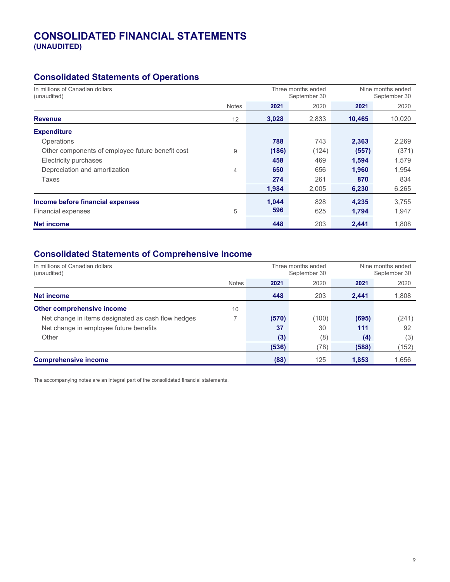## CONSOLIDATED FINANCIAL STATEMENTS (UNAUDITED)

## Consolidated Statements of Operations

| In millions of Canadian dollars<br>(unaudited)   |              |       | Three months ended<br>September 30 | Nine months ended<br>September 30 |        |
|--------------------------------------------------|--------------|-------|------------------------------------|-----------------------------------|--------|
|                                                  | <b>Notes</b> | 2021  | 2020                               | 2021                              | 2020   |
| <b>Revenue</b>                                   | 12           | 3,028 | 2,833                              | 10,465                            | 10,020 |
| <b>Expenditure</b>                               |              |       |                                    |                                   |        |
| Operations                                       |              | 788   | 743                                | 2,363                             | 2,269  |
| Other components of employee future benefit cost | 9            | (186) | (124)                              | (557)                             | (371)  |
| Electricity purchases                            |              | 458   | 469                                | 1,594                             | 1,579  |
| Depreciation and amortization                    | 4            | 650   | 656                                | 1,960                             | 1,954  |
| Taxes                                            |              | 274   | 261                                | 870                               | 834    |
|                                                  |              | 1.984 | 2.005                              | 6,230                             | 6,265  |
| Income before financial expenses                 |              | 1,044 | 828                                | 4,235                             | 3,755  |
| Financial expenses                               | 5            | 596   | 625                                | 1,794                             | 1,947  |
| <b>Net income</b>                                |              | 448   | 203                                | 2,441                             | 1.808  |

## Consolidated Statements of Comprehensive Income

| In millions of Canadian dollars<br>(unaudited)     |              | Three months ended<br>September 30 |       | Nine months ended<br>September 30 |       |
|----------------------------------------------------|--------------|------------------------------------|-------|-----------------------------------|-------|
|                                                    | <b>Notes</b> | 2021                               | 2020  | 2021                              | 2020  |
| Net income                                         |              | 448                                | 203   | 2,441                             | 1,808 |
| Other comprehensive income                         | 10           |                                    |       |                                   |       |
| Net change in items designated as cash flow hedges |              | (570)                              | (100) | (695)                             | (241) |
| Net change in employee future benefits             |              | 37                                 | 30    | 111                               | 92    |
| Other                                              |              | (3)                                | (8)   | (4)                               | (3)   |
|                                                    |              | (536)                              | (78)  | (588)                             | (152) |
| <b>Comprehensive income</b>                        |              | (88)                               | 125   | 1,853                             | 1.656 |

The accompanying notes are an integral part of the consolidated financial statements.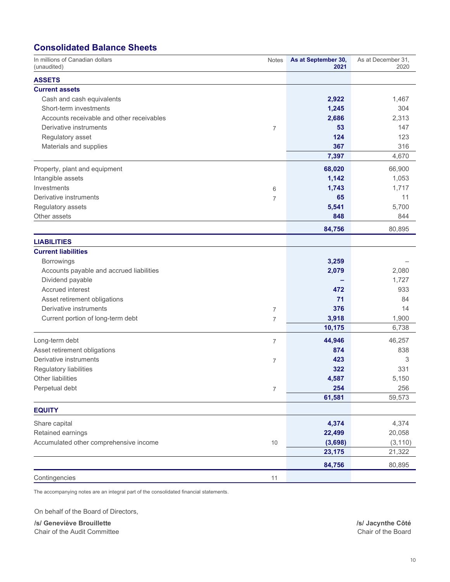## Consolidated Balance Sheets

| In millions of Canadian dollars<br>(unaudited) | <b>Notes</b>     | As at September 30,<br>2021 | As at December 31,<br>2020 |
|------------------------------------------------|------------------|-----------------------------|----------------------------|
| <b>ASSETS</b>                                  |                  |                             |                            |
| <b>Current assets</b>                          |                  |                             |                            |
| Cash and cash equivalents                      |                  | 2,922                       | 1,467                      |
| Short-term investments                         |                  | 1,245                       | 304                        |
| Accounts receivable and other receivables      |                  | 2,686                       | 2,313                      |
| Derivative instruments                         | $\overline{7}$   | 53                          | 147                        |
| Regulatory asset                               |                  | 124                         | 123                        |
| Materials and supplies                         |                  | 367                         | 316                        |
|                                                |                  | 7,397                       | 4,670                      |
| Property, plant and equipment                  |                  | 68,020                      | 66,900                     |
| Intangible assets                              |                  | 1,142                       | 1,053                      |
| Investments                                    | 6                | 1,743                       | 1,717                      |
| Derivative instruments                         | $\overline{7}$   | 65                          | 11                         |
| Regulatory assets                              |                  | 5,541                       | 5,700                      |
| Other assets                                   |                  | 848                         | 844                        |
|                                                |                  | 84,756                      | 80,895                     |
| <b>LIABILITIES</b>                             |                  |                             |                            |
| <b>Current liabilities</b>                     |                  |                             |                            |
| <b>Borrowings</b>                              |                  | 3,259                       |                            |
| Accounts payable and accrued liabilities       |                  | 2,079                       | 2,080                      |
| Dividend payable                               |                  |                             | 1,727                      |
| Accrued interest                               |                  | 472                         | 933                        |
| Asset retirement obligations                   |                  | 71                          | 84                         |
| Derivative instruments                         | $\overline{7}$   | 376                         | 14                         |
| Current portion of long-term debt              | 7                | 3,918                       | 1,900                      |
|                                                |                  | 10,175                      | 6,738                      |
| Long-term debt                                 | 7                | 44,946                      | 46,257                     |
| Asset retirement obligations                   |                  | 874                         | 838                        |
| Derivative instruments                         | 7                | 423                         | 3                          |
| Regulatory liabilities                         |                  | 322                         | 331                        |
| <b>Other liabilities</b>                       |                  | 4,587                       | 5,150                      |
| Perpetual debt                                 | $\boldsymbol{7}$ | 254                         | 256                        |
|                                                |                  | 61,581                      | 59,573                     |
| <b>EQUITY</b>                                  |                  |                             |                            |
| Share capital                                  |                  | 4,374                       | 4,374                      |
| Retained earnings                              |                  | 22,499                      | 20,058                     |
| Accumulated other comprehensive income         | 10               | (3,698)                     | (3, 110)                   |
|                                                |                  | 23,175                      | 21,322                     |
|                                                |                  | 84,756                      | 80,895                     |
| Contingencies                                  | 11               |                             |                            |

The accompanying notes are an integral part of the consolidated financial statements.

On behalf of the Board of Directors,

/s/ Geneviève Brouillette<br>
Chair of the Audit Committee<br>
Chair of the Audit Committee Chair of the Audit Committee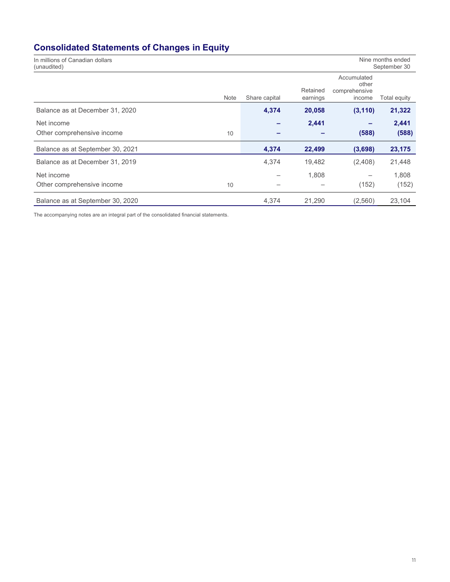# Consolidated Statements of Changes in Equity

| In millions of Canadian dollars<br>Nine months ended<br>September 30<br>(unaudited) |               |                      |                                                 |              |  |
|-------------------------------------------------------------------------------------|---------------|----------------------|-------------------------------------------------|--------------|--|
| <b>Note</b>                                                                         | Share capital | Retained<br>earnings | Accumulated<br>other<br>comprehensive<br>income | Total equity |  |
| Balance as at December 31, 2020                                                     | 4,374         | 20,058               | (3, 110)                                        | 21,322       |  |
| Net income                                                                          |               | 2,441                |                                                 | 2,441        |  |
| Other comprehensive income<br>10                                                    |               |                      | (588)                                           | (588)        |  |
| Balance as at September 30, 2021                                                    | 4,374         | 22,499               | (3,698)                                         | 23,175       |  |
| Balance as at December 31, 2019                                                     | 4,374         | 19,482               | (2,408)                                         | 21,448       |  |
| Net income                                                                          |               | 1,808                |                                                 | 1,808        |  |
| Other comprehensive income<br>10                                                    |               |                      | (152)                                           | (152)        |  |
| Balance as at September 30, 2020                                                    | 4.374         | 21.290               | (2,560)                                         | 23,104       |  |

The accompanying notes are an integral part of the consolidated financial statements.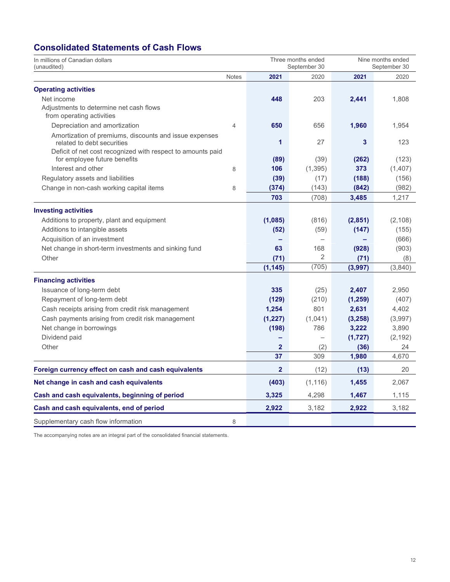## Consolidated Statements of Cash Flows

| In millions of Canadian dollars<br>(unaudited)              |                |                | Three months ended<br>September 30 |          | Nine months ended<br>September 30 |
|-------------------------------------------------------------|----------------|----------------|------------------------------------|----------|-----------------------------------|
|                                                             | <b>Notes</b>   | 2021           | 2020                               | 2021     | 2020                              |
| <b>Operating activities</b>                                 |                |                |                                    |          |                                   |
| Net income                                                  |                | 448            | 203                                | 2,441    | 1,808                             |
| Adjustments to determine net cash flows                     |                |                |                                    |          |                                   |
| from operating activities                                   |                |                |                                    |          |                                   |
| Depreciation and amortization                               | $\overline{4}$ | 650            | 656                                | 1,960    | 1,954                             |
| Amortization of premiums, discounts and issue expenses      |                |                |                                    |          |                                   |
| related to debt securities                                  |                | 1              | 27                                 | 3        | 123                               |
| Deficit of net cost recognized with respect to amounts paid |                |                |                                    |          |                                   |
| for employee future benefits                                |                | (89)           | (39)                               | (262)    | (123)                             |
| Interest and other                                          | 8              | 106            | (1, 395)                           | 373      | (1,407)                           |
| Regulatory assets and liabilities                           |                | (39)           | (17)                               | (188)    | (156)                             |
| Change in non-cash working capital items                    | 8              | (374)          | (143)                              | (842)    | (982)                             |
|                                                             |                | 703            | (708)                              | 3,485    | 1,217                             |
| <b>Investing activities</b>                                 |                |                |                                    |          |                                   |
| Additions to property, plant and equipment                  |                | (1,085)        | (816)                              | (2,851)  | (2, 108)                          |
| Additions to intangible assets                              |                | (52)           | (59)                               | (147)    | (155)                             |
| Acquisition of an investment                                |                |                | $\qquad \qquad -$                  |          | (666)                             |
| Net change in short-term investments and sinking fund       |                | 63             | 168                                | (928)    | (903)                             |
| Other                                                       |                | (71)           | $\overline{2}$                     | (71)     | (8)                               |
|                                                             |                | (1, 145)       | (705)                              | (3,997)  | (3,840)                           |
| <b>Financing activities</b>                                 |                |                |                                    |          |                                   |
| Issuance of long-term debt                                  |                | 335            | (25)                               | 2,407    | 2,950                             |
| Repayment of long-term debt                                 |                | (129)          | (210)                              | (1, 259) | (407)                             |
| Cash receipts arising from credit risk management           |                | 1,254          | 801                                | 2,631    | 4,402                             |
| Cash payments arising from credit risk management           |                | (1, 227)       | (1,041)                            | (3, 258) | (3,997)                           |
| Net change in borrowings                                    |                | (198)          | 786                                | 3,222    | 3,890                             |
| Dividend paid                                               |                |                |                                    | (1,727)  | (2, 192)                          |
| Other                                                       |                | $\mathbf{2}$   | (2)                                | (36)     | 24                                |
|                                                             |                | 37             | 309                                | 1,980    | 4,670                             |
| Foreign currency effect on cash and cash equivalents        |                | $\overline{2}$ | (12)                               | (13)     | 20                                |
| Net change in cash and cash equivalents                     |                | (403)          | (1, 116)                           | 1,455    | 2,067                             |
| Cash and cash equivalents, beginning of period              |                | 3,325          | 4,298                              | 1,467    | 1,115                             |
|                                                             |                |                |                                    |          |                                   |
| Cash and cash equivalents, end of period                    |                | 2,922          | 3,182                              | 2,922    | 3,182                             |
| Supplementary cash flow information                         | 8              |                |                                    |          |                                   |

The accompanying notes are an integral part of the consolidated financial statements.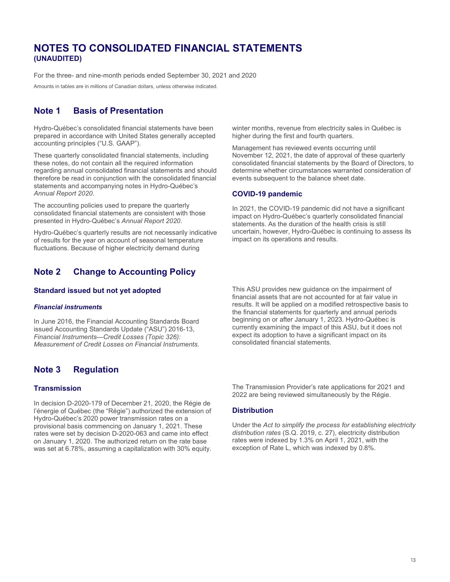## NOTES TO CONSOLIDATED FINANCIAL STATEMENTS (UNAUDITED)

For the three- and nine-month periods ended September 30, 2021 and 2020

Amounts in tables are in millions of Canadian dollars, unless otherwise indicated.

## Note 1 Basis of Presentation

Hydro-Québec's consolidated financial statements have been prepared in accordance with United States generally accepted accounting principles ("U.S. GAAP").

These quarterly consolidated financial statements, including these notes, do not contain all the required information regarding annual consolidated financial statements and should therefore be read in conjunction with the consolidated financial statements and accompanying notes in Hydro-Québec's Annual Report 2020.

The accounting policies used to prepare the quarterly consolidated financial statements are consistent with those presented in Hydro-Québec's Annual Report 2020.

Hydro-Québec's quarterly results are not necessarily indicative of results for the year on account of seasonal temperature fluctuations. Because of higher electricity demand during

## Note 2 Change to Accounting Policy

#### Standard issued but not yet adopted

#### Financial instruments

In June 2016, the Financial Accounting Standards Board issued Accounting Standards Update ("ASU") 2016-13, Financial Instruments—Credit Losses (Topic 326): Measurement of Credit Losses on Financial Instruments.

## Note 3 Regulation

#### **Transmission**

In decision D-2020-179 of December 21, 2020, the Régie de l'énergie of Québec (the "Régie") authorized the extension of Hydro-Québec's 2020 power transmission rates on a provisional basis commencing on January 1, 2021. These rates were set by decision D-2020-063 and came into effect on January 1, 2020. The authorized return on the rate base was set at 6.78%, assuming a capitalization with 30% equity. winter months, revenue from electricity sales in Québec is higher during the first and fourth quarters.

Management has reviewed events occurring until November 12, 2021, the date of approval of these quarterly consolidated financial statements by the Board of Directors, to determine whether circumstances warranted consideration of events subsequent to the balance sheet date.

#### COVID-19 pandemic

In 2021, the COVID-19 pandemic did not have a significant impact on Hydro-Québec's quarterly consolidated financial statements. As the duration of the health crisis is still uncertain, however, Hydro-Québec is continuing to assess its impact on its operations and results.

This ASU provides new guidance on the impairment of financial assets that are not accounted for at fair value in results. It will be applied on a modified retrospective basis to the financial statements for quarterly and annual periods beginning on or after January 1, 2023. Hydro-Québec is currently examining the impact of this ASU, but it does not expect its adoption to have a significant impact on its consolidated financial statements.

The Transmission Provider's rate applications for 2021 and 2022 are being reviewed simultaneously by the Régie.

#### **Distribution**

Under the Act to simplify the process for establishing electricity distribution rates (S.Q. 2019, c. 27), electricity distribution rates were indexed by 1.3% on April 1, 2021, with the exception of Rate L, which was indexed by 0.8%.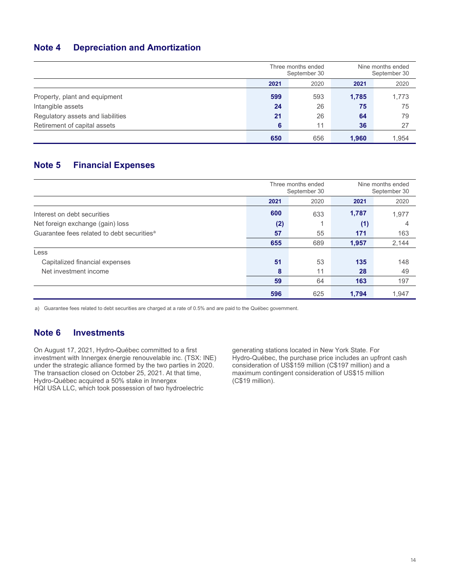## Note 4 Depreciation and Amortization

|                                   | Three months ended<br>September 30 |      | Nine months ended<br>September 30 |       |
|-----------------------------------|------------------------------------|------|-----------------------------------|-------|
|                                   | 2021                               | 2020 | 2021                              | 2020  |
| Property, plant and equipment     | 599                                | 593  | 1,785                             | 1,773 |
| Intangible assets                 | 24                                 | 26   | 75                                | 75    |
| Regulatory assets and liabilities | 21                                 | 26   | 64                                | 79    |
| Retirement of capital assets      | 6                                  | 11   | 36                                | 27    |
|                                   | 650                                | 656  | 1.960                             | 1.954 |

## Note 5 Financial Expenses

|                                                        |      | Three months ended<br>September 30 | Nine months ended<br>September 30 |       |  |
|--------------------------------------------------------|------|------------------------------------|-----------------------------------|-------|--|
|                                                        | 2021 | 2020                               | 2021                              | 2020  |  |
| Interest on debt securities                            | 600  | 633                                | 1,787                             | 1,977 |  |
| Net foreign exchange (gain) loss                       | (2)  | 4                                  | (1)                               | 4     |  |
| Guarantee fees related to debt securities <sup>a</sup> | 57   | 55                                 | 171                               | 163   |  |
|                                                        | 655  | 689                                | 1,957                             | 2,144 |  |
| Less                                                   |      |                                    |                                   |       |  |
| Capitalized financial expenses                         | 51   | 53                                 | 135                               | 148   |  |
| Net investment income                                  | 8    | 11                                 | 28                                | 49    |  |
|                                                        | 59   | 64                                 | 163                               | 197   |  |
|                                                        | 596  | 625                                | 1.794                             | 1.947 |  |

a) Guarantee fees related to debt securities are charged at a rate of 0.5% and are paid to the Québec government.

## Note 6 Investments

On August 17, 2021, Hydro-Québec committed to a first investment with Innergex énergie renouvelable inc. (TSX: INE) under the strategic alliance formed by the two parties in 2020. The transaction closed on October 25, 2021. At that time, Hydro-Québec acquired a 50% stake in Innergex HQI USA LLC, which took possession of two hydroelectric

generating stations located in New York State. For Hydro-Québec, the purchase price includes an upfront cash consideration of US\$159 million (C\$197 million) and a maximum contingent consideration of US\$15 million (C\$19 million).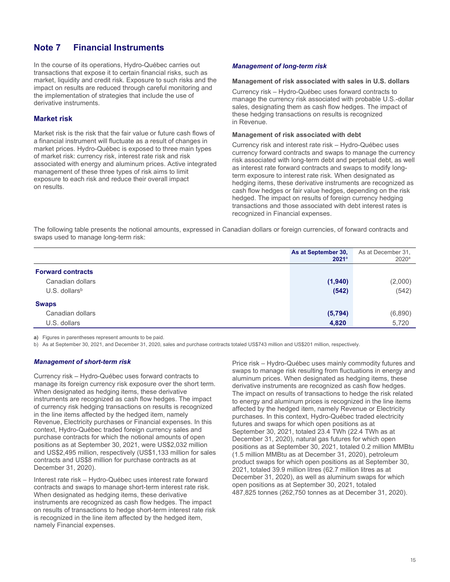## Note 7 Financial Instruments

In the course of its operations, Hydro-Québec carries out transactions that expose it to certain financial risks, such as market, liquidity and credit risk. Exposure to such risks and the impact on results are reduced through careful monitoring and the implementation of strategies that include the use of derivative instruments.

#### Market risk

Market risk is the risk that the fair value or future cash flows of a financial instrument will fluctuate as a result of changes in market prices. Hydro-Québec is exposed to three main types of market risk: currency risk, interest rate risk and risk associated with energy and aluminum prices. Active integrated management of these three types of risk aims to limit exposure to each risk and reduce their overall impact on results.

#### Management of long-term risk

#### Management of risk associated with sales in U.S. dollars

Currency risk – Hydro-Québec uses forward contracts to manage the currency risk associated with probable U.S.-dollar sales, designating them as cash flow hedges. The impact of these hedging transactions on results is recognized in Revenue.

#### Management of risk associated with debt

Currency risk and interest rate risk – Hydro-Québec uses currency forward contracts and swaps to manage the currency risk associated with long-term debt and perpetual debt, as well as interest rate forward contracts and swaps to modify longterm exposure to interest rate risk. When designated as hedging items, these derivative instruments are recognized as cash flow hedges or fair value hedges, depending on the risk hedged. The impact on results of foreign currency hedging transactions and those associated with debt interest rates is recognized in Financial expenses.

The following table presents the notional amounts, expressed in Canadian dollars or foreign currencies, of forward contracts and swaps used to manage long-term risk:

|                             | As at September 30,<br>$2021^{\circ}$ | As at December 31,<br>2020 <sup>a</sup> |
|-----------------------------|---------------------------------------|-----------------------------------------|
| <b>Forward contracts</b>    |                                       |                                         |
| Canadian dollars            | (1,940)                               | (2,000)                                 |
| $U.S.$ dollars <sup>b</sup> | (542)                                 | (542)                                   |
| <b>Swaps</b>                |                                       |                                         |
| Canadian dollars            | (5, 794)                              | (6,890)                                 |
| U.S. dollars                | 4,820                                 | 5,720                                   |

a) Figures in parentheses represent amounts to be paid.

b) As at September 30, 2021, and December 31, 2020, sales and purchase contracts totaled US\$743 million and US\$201 million, respectively.

#### Management of short-term risk

Currency risk – Hydro-Québec uses forward contracts to manage its foreign currency risk exposure over the short term. When designated as hedging items, these derivative instruments are recognized as cash flow hedges. The impact of currency risk hedging transactions on results is recognized in the line items affected by the hedged item, namely Revenue, Electricity purchases or Financial expenses. In this context, Hydro-Québec traded foreign currency sales and purchase contracts for which the notional amounts of open positions as at September 30, 2021, were US\$2,032 million and US\$2,495 million, respectively (US\$1,133 million for sales contracts and US\$8 million for purchase contracts as at December 31, 2020).

Interest rate risk – Hydro-Québec uses interest rate forward contracts and swaps to manage short-term interest rate risk. When designated as hedging items, these derivative instruments are recognized as cash flow hedges. The impact on results of transactions to hedge short-term interest rate risk is recognized in the line item affected by the hedged item, namely Financial expenses.

Price risk – Hydro-Québec uses mainly commodity futures and swaps to manage risk resulting from fluctuations in energy and aluminum prices. When designated as hedging items, these derivative instruments are recognized as cash flow hedges. The impact on results of transactions to hedge the risk related to energy and aluminum prices is recognized in the line items affected by the hedged item, namely Revenue or Electricity purchases. In this context, Hydro-Québec traded electricity futures and swaps for which open positions as at September 30, 2021, totaled 23.4 TWh (22.4 TWh as at December 31, 2020), natural gas futures for which open positions as at September 30, 2021, totaled 0.2 million MMBtu (1.5 million MMBtu as at December 31, 2020), petroleum product swaps for which open positions as at September 30, 2021, totaled 39.9 million litres (62.7 million litres as at December 31, 2020), as well as aluminum swaps for which open positions as at September 30, 2021, totaled 487,825 tonnes (262,750 tonnes as at December 31, 2020).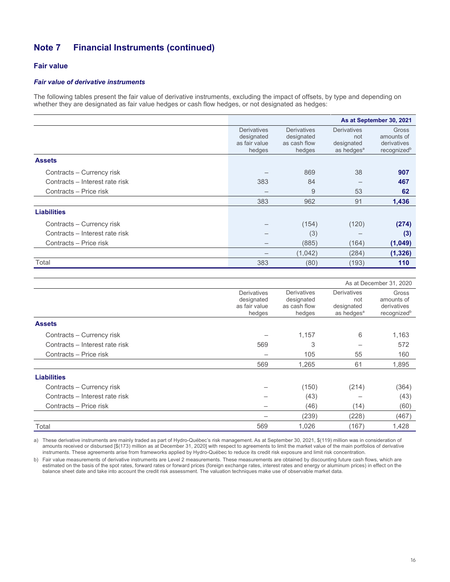## Fair value

#### Fair value of derivative instruments

The following tables present the fair value of derivative instruments, excluding the impact of offsets, by type and depending on whether they are designated as fair value hedges or cash flow hedges, or not designated as hedges:

|                                | As at September 30, 2021                                    |                                                            |                                                                   |                                                               |  |  |
|--------------------------------|-------------------------------------------------------------|------------------------------------------------------------|-------------------------------------------------------------------|---------------------------------------------------------------|--|--|
|                                | <b>Derivatives</b><br>designated<br>as fair value<br>hedges | <b>Derivatives</b><br>designated<br>as cash flow<br>hedges | <b>Derivatives</b><br>not<br>designated<br>as hedges <sup>a</sup> | Gross<br>amounts of<br>derivatives<br>recognized <sup>b</sup> |  |  |
| <b>Assets</b>                  |                                                             |                                                            |                                                                   |                                                               |  |  |
| Contracts - Currency risk      |                                                             | 869                                                        | 38                                                                | 907                                                           |  |  |
| Contracts - Interest rate risk | 383                                                         | 84                                                         |                                                                   | 467                                                           |  |  |
| Contracts - Price risk         |                                                             | 9                                                          | 53                                                                | 62                                                            |  |  |
|                                | 383                                                         | 962                                                        | 91                                                                | 1,436                                                         |  |  |
| <b>Liabilities</b>             |                                                             |                                                            |                                                                   |                                                               |  |  |
| Contracts - Currency risk      |                                                             | (154)                                                      | (120)                                                             | (274)                                                         |  |  |
| Contracts - Interest rate risk |                                                             | (3)                                                        |                                                                   | (3)                                                           |  |  |
| Contracts - Price risk         |                                                             | (885)                                                      | (164)                                                             | (1,049)                                                       |  |  |
|                                |                                                             | (1,042)                                                    | (284)                                                             | (1, 326)                                                      |  |  |
| Total                          | 383                                                         | (80)                                                       | (193)                                                             | 110                                                           |  |  |

|                                |                                                             |                                                            | As at December 31, 2020                                           |                                                               |  |
|--------------------------------|-------------------------------------------------------------|------------------------------------------------------------|-------------------------------------------------------------------|---------------------------------------------------------------|--|
|                                | <b>Derivatives</b><br>designated<br>as fair value<br>hedges | <b>Derivatives</b><br>designated<br>as cash flow<br>hedges | <b>Derivatives</b><br>not<br>designated<br>as hedges <sup>a</sup> | Gross<br>amounts of<br>derivatives<br>recognized <sup>b</sup> |  |
| <b>Assets</b>                  |                                                             |                                                            |                                                                   |                                                               |  |
| Contracts - Currency risk      |                                                             | 1,157                                                      | 6                                                                 | 1,163                                                         |  |
| Contracts - Interest rate risk | 569                                                         | 3                                                          |                                                                   | 572                                                           |  |
| Contracts – Price risk         |                                                             | 105                                                        | 55                                                                | 160                                                           |  |
|                                | 569                                                         | 1,265                                                      | 61                                                                | 1,895                                                         |  |
| <b>Liabilities</b>             |                                                             |                                                            |                                                                   |                                                               |  |
| Contracts – Currency risk      |                                                             | (150)                                                      | (214)                                                             | (364)                                                         |  |
| Contracts - Interest rate risk |                                                             | (43)                                                       |                                                                   | (43)                                                          |  |
| Contracts - Price risk         |                                                             | (46)                                                       | (14)                                                              | (60)                                                          |  |
|                                |                                                             | (239)                                                      | (228)                                                             | (467)                                                         |  |
| Total                          | 569                                                         | 1,026                                                      | (167)                                                             | 1,428                                                         |  |

a) These derivative instruments are mainly traded as part of Hydro-Québec's risk management. As at September 30, 2021, \$(119) million was in consideration of amounts received or disbursed [\$(173) million as at December 31, 2020] with respect to agreements to limit the market value of the main portfolios of derivative instruments. These agreements arise from frameworks applied by Hydro-Québec to reduce its credit risk exposure and limit risk concentration.

b) Fair value measurements of derivative instruments are Level 2 measurements. These measurements are obtained by discounting future cash flows, which are estimated on the basis of the spot rates, forward rates or forward prices (foreign exchange rates, interest rates and energy or aluminum prices) in effect on the balance sheet date and take into account the credit risk assessment. The valuation techniques make use of observable market data.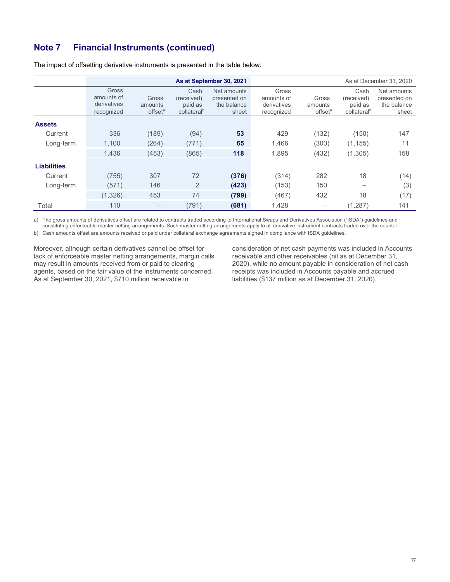|                    | As at September 30, 2021                         |                                         |                                                          |                                                     |                                                  |                                         |                                                          | As at December 31, 2020                             |
|--------------------|--------------------------------------------------|-----------------------------------------|----------------------------------------------------------|-----------------------------------------------------|--------------------------------------------------|-----------------------------------------|----------------------------------------------------------|-----------------------------------------------------|
|                    | Gross<br>amounts of<br>derivatives<br>recognized | Gross<br>amounts<br>offset <sup>a</sup> | Cash<br>(received)<br>paid as<br>collateral <sup>b</sup> | Net amounts<br>presented on<br>the balance<br>sheet | Gross<br>amounts of<br>derivatives<br>recognized | Gross<br>amounts<br>offset <sup>a</sup> | Cash<br>(received)<br>paid as<br>collateral <sup>b</sup> | Net amounts<br>presented on<br>the balance<br>sheet |
| <b>Assets</b>      |                                                  |                                         |                                                          |                                                     |                                                  |                                         |                                                          |                                                     |
| Current            | 336                                              | (189)                                   | (94)                                                     | 53                                                  | 429                                              | (132)                                   | (150)                                                    | 147                                                 |
| Long-term          | 1,100                                            | (264)                                   | (771)                                                    | 65                                                  | 1.466                                            | (300)                                   | (1, 155)                                                 | 11                                                  |
|                    | 1,436                                            | (453)                                   | (865)                                                    | 118                                                 | 1,895                                            | (432)                                   | (1, 305)                                                 | 158                                                 |
| <b>Liabilities</b> |                                                  |                                         |                                                          |                                                     |                                                  |                                         |                                                          |                                                     |
| Current            | (755)                                            | 307                                     | 72                                                       | (376)                                               | (314)                                            | 282                                     | 18                                                       | (14)                                                |
| Long-term          | (571)                                            | 146                                     | $\overline{2}$                                           | (423)                                               | (153)                                            | 150                                     |                                                          | (3)                                                 |
|                    | (1, 326)                                         | 453                                     | 74                                                       | (799)                                               | (467)                                            | 432                                     | 18                                                       | (17)                                                |
| Total              | 110                                              |                                         | (791)                                                    | (681)                                               | 1,428                                            |                                         | (1, 287)                                                 | 141                                                 |

The impact of offsetting derivative instruments is presented in the table below:

a) The gross amounts of derivatives offset are related to contracts traded according to International Swaps and Derivatives Association ("ISDA") guidelines and constituting enforceable master netting arrangements. Such master netting arrangements apply to all derivative instrument contracts traded over the counter.

b) Cash amounts offset are amounts received or paid under collateral exchange agreements signed in compliance with ISDA guidelines.

Moreover, although certain derivatives cannot be offset for lack of enforceable master netting arrangements, margin calls may result in amounts received from or paid to clearing agents, based on the fair value of the instruments concerned. As at September 30, 2021, \$710 million receivable in

consideration of net cash payments was included in Accounts receivable and other receivables (nil as at December 31, 2020), while no amount payable in consideration of net cash receipts was included in Accounts payable and accrued liabilities (\$137 million as at December 31, 2020).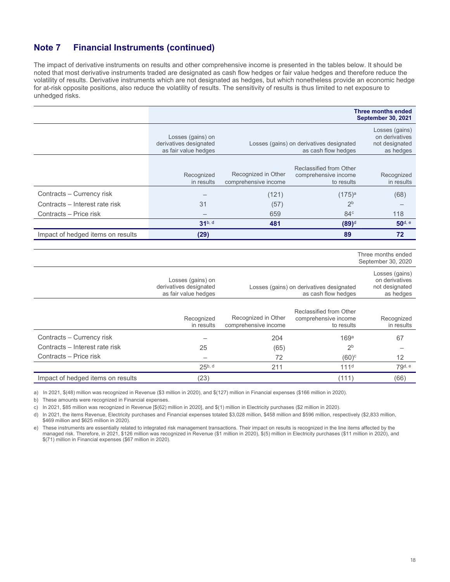The impact of derivative instruments on results and other comprehensive income is presented in the tables below. It should be noted that most derivative instruments traded are designated as cash flow hedges or fair value hedges and therefore reduce the volatility of results. Derivative instruments which are not designated as hedges, but which nonetheless provide an economic hedge for at-risk opposite positions, also reduce the volatility of results. The sensitivity of results is thus limited to net exposure to unhedged risks.

|                                   |                                                                     |                                             |                                                                 | <b>Three months ended</b><br><b>September 30, 2021</b>          |
|-----------------------------------|---------------------------------------------------------------------|---------------------------------------------|-----------------------------------------------------------------|-----------------------------------------------------------------|
|                                   | Losses (gains) on<br>derivatives designated<br>as fair value hedges |                                             | Losses (gains) on derivatives designated<br>as cash flow hedges | Losses (gains)<br>on derivatives<br>not designated<br>as hedges |
|                                   | Recognized<br>in results                                            | Recognized in Other<br>comprehensive income | Reclassified from Other<br>comprehensive income<br>to results   | Recognized<br>in results                                        |
| Contracts - Currency risk         |                                                                     | (121)                                       | $(175)^{a}$                                                     | (68)                                                            |
| Contracts - Interest rate risk    | 31                                                                  | (57)                                        | 2 <sub>b</sub>                                                  |                                                                 |
| Contracts - Price risk            |                                                                     | 659                                         | 84 <sup>c</sup>                                                 | 118                                                             |
|                                   | $31^{b, d}$                                                         | 481                                         | $(89)^d$                                                        | 50 <sup>d, e</sup>                                              |
| Impact of hedged items on results | (29)                                                                |                                             | 89                                                              | 72                                                              |
|                                   |                                                                     |                                             |                                                                 |                                                                 |
|                                   |                                                                     |                                             |                                                                 | Three months ended<br>September 30, 2020                        |
|                                   | Losses (gains) on<br>derivatives designated<br>as fair value hedges |                                             | Losses (gains) on derivatives designated<br>as cash flow hedges | Losses (gains)<br>on derivatives<br>not designated<br>as hedges |
|                                   | Recognized<br>in results                                            | Recognized in Other<br>comprehensive income | Reclassified from Other<br>comprehensive income<br>to results   | Recognized<br>in results                                        |
| Contracts - Currency risk         |                                                                     | 204                                         | 169 <sup>a</sup>                                                | 67                                                              |
| Contracts - Interest rate risk    | 25                                                                  | (65)                                        | 2 <sup>b</sup>                                                  |                                                                 |
| Contracts - Price risk            |                                                                     | 72                                          | $(60)^c$                                                        | 12                                                              |
|                                   | $25^{b, d}$                                                         | 211                                         | 111 <sup>d</sup>                                                | 79 <sup>d, e</sup>                                              |
|                                   |                                                                     |                                             |                                                                 |                                                                 |

a) In 2021, \$(48) million was recognized in Revenue (\$3 million in 2020), and \$(127) million in Financial expenses (\$166 million in 2020).

b) These amounts were recognized in Financial expenses.

c) In 2021, \$85 million was recognized in Revenue [\$(62) million in 2020], and \$(1) million in Electricity purchases (\$2 million in 2020).

d) In 2021, the items Revenue, Electricity purchases and Financial expenses totaled \$3,028 million, \$458 million and \$596 million, respectively (\$2,833 million, \$469 million and \$625 million in 2020).

e) These instruments are essentially related to integrated risk management transactions. Their impact on results is recognized in the line items affected by the managed risk. Therefore, in 2021, \$126 million was recognized in Revenue (\$1 million in 2020), \$(5) million in Electricity purchases (\$11 million in 2020), and \$(71) million in Financial expenses (\$67 million in 2020).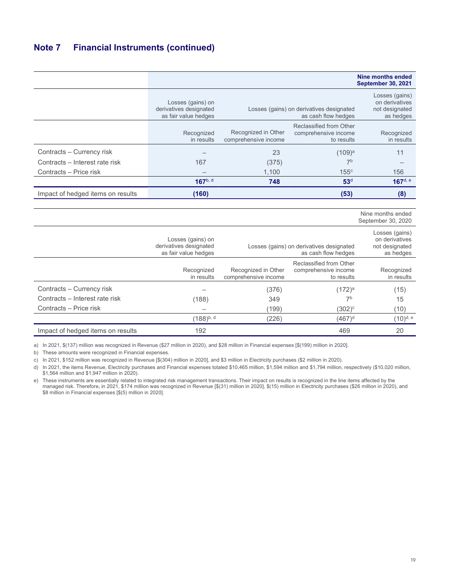|                                   |                                                                     |                                             |                                                                 | Nine months ended<br><b>September 30, 2021</b>                  |
|-----------------------------------|---------------------------------------------------------------------|---------------------------------------------|-----------------------------------------------------------------|-----------------------------------------------------------------|
|                                   | Losses (gains) on<br>derivatives designated<br>as fair value hedges |                                             | Losses (gains) on derivatives designated<br>as cash flow hedges | Losses (gains)<br>on derivatives<br>not designated<br>as hedges |
|                                   | Recognized<br>in results                                            | Recognized in Other<br>comprehensive income | Reclassified from Other<br>comprehensive income<br>to results   | Recognized<br>in results                                        |
| Contracts – Currency risk         |                                                                     | 23                                          | $(109)^a$                                                       | 11                                                              |
| Contracts - Interest rate risk    | 167                                                                 | (375)                                       | 7 <sup>b</sup>                                                  |                                                                 |
| Contracts - Price risk            |                                                                     | 1,100                                       | 155c                                                            | 156                                                             |
|                                   | $167^{\rm b, d}$                                                    | 748                                         | 53 <sup>d</sup>                                                 | $167$ <sup>d, e</sup>                                           |
| Impact of hedged items on results | (160)                                                               |                                             | (53)                                                            | (8)                                                             |

 Nine months ended September 30, 2020

|                                   | Losses (gains) on<br>derivatives designated<br>as fair value hedges | Losses (gains) on derivatives designated    | Losses (gains)<br>on derivatives<br>not designated<br>as hedges |                          |
|-----------------------------------|---------------------------------------------------------------------|---------------------------------------------|-----------------------------------------------------------------|--------------------------|
|                                   | Recognized<br>in results                                            | Recognized in Other<br>comprehensive income | Reclassified from Other<br>comprehensive income<br>to results   | Recognized<br>in results |
| Contracts - Currency risk         |                                                                     | (376)                                       | $(172)^{a}$                                                     | (15)                     |
| Contracts - Interest rate risk    | (188)                                                               | 349                                         | 7b                                                              | 15                       |
| Contracts - Price risk            |                                                                     | (199)                                       | $(302)^c$                                                       | (10)                     |
|                                   | $(188)^{b, d}$                                                      | (226)                                       | $(467)^d$                                                       | (10) <sup>d, e</sup>     |
| Impact of hedged items on results | 192                                                                 |                                             | 469                                                             | 20                       |

a) In 2021, \$(137) million was recognized in Revenue (\$27 million in 2020), and \$28 million in Financial expenses [\$(199) million in 2020].

b) These amounts were recognized in Financial expenses.

c) In 2021, \$152 million was recognized in Revenue [\$(304) million in 2020], and \$3 million in Electricity purchases (\$2 million in 2020).

d) In 2021, the items Revenue, Electricity purchases and Financial expenses totaled \$10,465 million, \$1,594 million and \$1,794 million, respectively (\$10,020 million, \$1,564 million and \$1,947 million in 2020).

e) These instruments are essentially related to integrated risk management transactions. Their impact on results is recognized in the line items affected by the managed risk. Therefore, in 2021, \$174 million was recognized in Revenue [\$(31) million in 2020], \$(15) million in Electricity purchases (\$26 million in 2020), and \$8 million in Financial expenses [\$(5) million in 2020].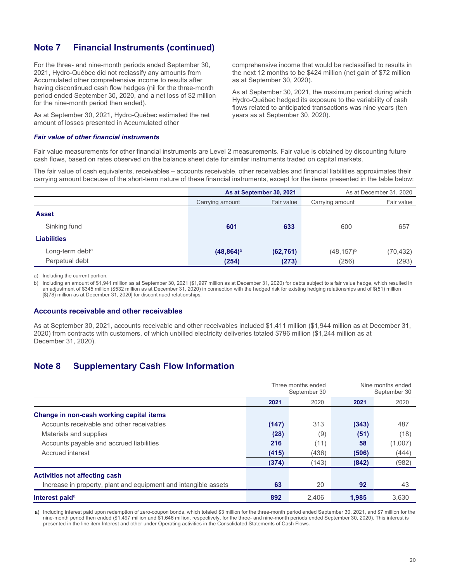For the three- and nine-month periods ended September 30, 2021, Hydro-Québec did not reclassify any amounts from Accumulated other comprehensive income to results after having discontinued cash flow hedges (nil for the three-month period ended September 30, 2020, and a net loss of \$2 million for the nine-month period then ended).

As at September 30, 2021, Hydro-Québec estimated the net amount of losses presented in Accumulated other

#### Fair value of other financial instruments

comprehensive income that would be reclassified to results in the next 12 months to be \$424 million (net gain of \$72 million as at September 30, 2020).

As at September 30, 2021, the maximum period during which Hydro-Québec hedged its exposure to the variability of cash flows related to anticipated transactions was nine years (ten years as at September 30, 2020).

Fair value measurements for other financial instruments are Level 2 measurements. Fair value is obtained by discounting future cash flows, based on rates observed on the balance sheet date for similar instruments traded on capital markets.

The fair value of cash equivalents, receivables – accounts receivable, other receivables and financial liabilities approximates their carrying amount because of the short-term nature of these financial instruments, except for the items presented in the table below:

|                             | As at September 30, 2021 |            |                 | As at December 31, 2020 |
|-----------------------------|--------------------------|------------|-----------------|-------------------------|
|                             | Carrying amount          | Fair value | Carrying amount | Fair value              |
| <b>Asset</b>                |                          |            |                 |                         |
| Sinking fund                | 601                      | 633        | 600             | 657                     |
| <b>Liabilities</b>          |                          |            |                 |                         |
| Long-term debt <sup>a</sup> | $(48, 864)^b$            | (62, 761)  | $(48, 157)^{b}$ | (70, 432)               |
| Perpetual debt              | (254)                    | (273)      | (256)           | (293)                   |

a) Including the current portion.

b) Including an amount of \$1,941 million as at September 30, 2021 (\$1,997 million as at December 31, 2020) for debts subject to a fair value hedge, which resulted in an adjustment of \$345 million (\$532 million as at December 31, 2020) in connection with the hedged risk for existing hedging relationships and of \$(51) million [\$(78) million as at December 31, 2020] for discontinued relationships.

#### Accounts receivable and other receivables

As at September 30, 2021, accounts receivable and other receivables included \$1,411 million (\$1,944 million as at December 31, 2020) from contracts with customers, of which unbilled electricity deliveries totaled \$796 million (\$1,244 million as at December 31, 2020).

## Note 8 Supplementary Cash Flow Information

|                                                                 |       | Three months ended<br>September 30 |       | Nine months ended<br>September 30 |
|-----------------------------------------------------------------|-------|------------------------------------|-------|-----------------------------------|
|                                                                 | 2021  | 2020                               | 2021  | 2020                              |
| Change in non-cash working capital items                        |       |                                    |       |                                   |
| Accounts receivable and other receivables                       | (147) | 313                                | (343) | 487                               |
| Materials and supplies                                          | (28)  | (9)                                | (51)  | (18)                              |
| Accounts payable and accrued liabilities                        | 216   | (11)                               | 58    | (1,007)                           |
| Accrued interest                                                | (415) | (436)                              | (506) | (444)                             |
|                                                                 | (374) | (143)                              | (842) | (982)                             |
| <b>Activities not affecting cash</b>                            |       |                                    |       |                                   |
| Increase in property, plant and equipment and intangible assets | 63    | 20                                 | 92    | 43                                |
| Interest paid <sup>a</sup>                                      | 892   | 2,406                              | 1.985 | 3.630                             |

a) Including interest paid upon redemption of zero-coupon bonds, which totaled \$3 million for the three-month period ended September 30, 2021, and \$7 million for the nine-month period then ended (\$1,497 million and \$1,646 million, respectively, for the three- and nine-month periods ended September 30, 2020). This interest is presented in the line item Interest and other under Operating activities in the Consolidated Statements of Cash Flows.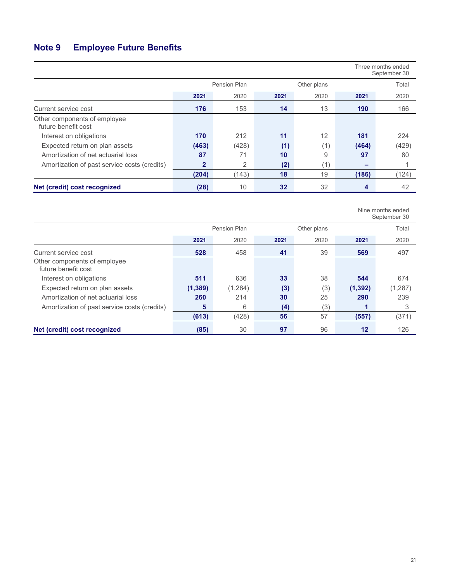# Note 9 Employee Future Benefits

|                                                     |              |                |      |             |       | Three months ended<br>September 30 |
|-----------------------------------------------------|--------------|----------------|------|-------------|-------|------------------------------------|
|                                                     |              | Pension Plan   |      | Other plans |       | Total                              |
|                                                     | 2021         | 2020           | 2021 | 2020        | 2021  | 2020                               |
| Current service cost                                | 176          | 153            | 14   | 13          | 190   | 166                                |
| Other components of employee<br>future benefit cost |              |                |      |             |       |                                    |
| Interest on obligations                             | 170          | 212            | 11   | 12          | 181   | 224                                |
| Expected return on plan assets                      | (463)        | (428)          | (1)  | (1)         | (464) | (429)                              |
| Amortization of net actuarial loss                  | 87           | 71             | 10   | 9           | 97    | 80                                 |
| Amortization of past service costs (credits)        | $\mathbf{2}$ | $\overline{2}$ | (2)  | (1)         | -     |                                    |
|                                                     | (204)        | (143)          | 18   | 19          | (186) | (124)                              |
| Net (credit) cost recognized                        | (28)         | 10             | 32   | 32          | 4     | 42                                 |

|                                                     |          |              |      |             |          | Nine months ended<br>September 30 |
|-----------------------------------------------------|----------|--------------|------|-------------|----------|-----------------------------------|
|                                                     |          | Pension Plan |      | Other plans |          | Total                             |
|                                                     | 2021     | 2020         | 2021 | 2020        | 2021     | 2020                              |
| Current service cost                                | 528      | 458          | 41   | 39          | 569      | 497                               |
| Other components of employee<br>future benefit cost |          |              |      |             |          |                                   |
| Interest on obligations                             | 511      | 636          | 33   | 38          | 544      | 674                               |
| Expected return on plan assets                      | (1, 389) | (1,284)      | (3)  | (3)         | (1, 392) | (1,287)                           |
| Amortization of net actuarial loss                  | 260      | 214          | 30   | 25          | 290      | 239                               |
| Amortization of past service costs (credits)        | 5        | 6            | (4)  | (3)         | Я        | 3                                 |
|                                                     | (613)    | (428)        | 56   | 57          | (557)    | (371)                             |
| Net (credit) cost recognized                        | (85)     | 30           | 97   | 96          | 12       | 126                               |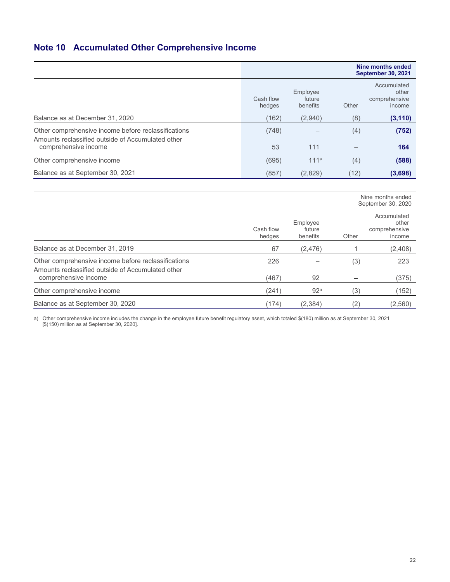## Note 10 Accumulated Other Comprehensive Income

|                                                                                                          |                     |                                |       | Nine months ended<br><b>September 30, 2021</b>  |
|----------------------------------------------------------------------------------------------------------|---------------------|--------------------------------|-------|-------------------------------------------------|
|                                                                                                          | Cash flow<br>hedges | Employee<br>future<br>benefits | Other | Accumulated<br>other<br>comprehensive<br>income |
| Balance as at December 31, 2020                                                                          | (162)               | (2,940)                        | (8)   | (3, 110)                                        |
| Other comprehensive income before reclassifications<br>Amounts reclassified outside of Accumulated other | (748)               |                                | (4)   | (752)                                           |
| comprehensive income                                                                                     | 53                  | 111                            |       | 164                                             |
| Other comprehensive income                                                                               | (695)               | 111 <sup>a</sup>               | (4)   | (588)                                           |
| Balance as at September 30, 2021                                                                         | (857)               | (2,829)                        | (12)  | (3,698)                                         |

|                                                                                                          |                     |                                |         | Nine months ended<br>September 30, 2020         |
|----------------------------------------------------------------------------------------------------------|---------------------|--------------------------------|---------|-------------------------------------------------|
|                                                                                                          | Cash flow<br>hedges | Employee<br>future<br>benefits | Other   | Accumulated<br>other<br>comprehensive<br>income |
| Balance as at December 31, 2019                                                                          | 67                  | (2, 476)                       |         | (2,408)                                         |
| Other comprehensive income before reclassifications<br>Amounts reclassified outside of Accumulated other | 226                 |                                | (3)     | 223                                             |
| comprehensive income                                                                                     | (467)               | 92                             |         | (375)                                           |
| Other comprehensive income                                                                               | (241)               | 92 <sup>a</sup>                | (3)     | (152)                                           |
| Balance as at September 30, 2020                                                                         | (174)               | (2, 384)                       | $^{2)}$ | (2,560)                                         |

a) Other comprehensive income includes the change in the employee future benefit regulatory asset, which totaled \$(180) million as at September 30, 2021 [\$(150) million as at September 30, 2020].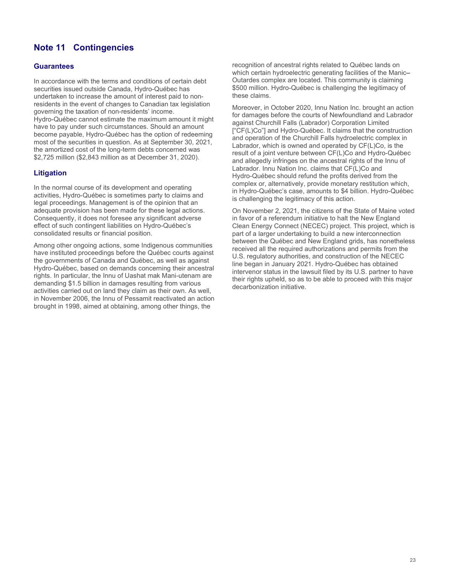## Note 11 Contingencies

### **Guarantees**

In accordance with the terms and conditions of certain debt securities issued outside Canada, Hydro-Québec has undertaken to increase the amount of interest paid to nonresidents in the event of changes to Canadian tax legislation governing the taxation of non-residents' income. Hydro-Québec cannot estimate the maximum amount it might have to pay under such circumstances. Should an amount become payable, Hydro-Québec has the option of redeeming most of the securities in question. As at September 30, 2021, the amortized cost of the long-term debts concerned was \$2,725 million (\$2,843 million as at December 31, 2020).

## **Litigation**

In the normal course of its development and operating activities, Hydro-Québec is sometimes party to claims and legal proceedings. Management is of the opinion that an adequate provision has been made for these legal actions. Consequently, it does not foresee any significant adverse effect of such contingent liabilities on Hydro-Québec's consolidated results or financial position.

Among other ongoing actions, some Indigenous communities have instituted proceedings before the Québec courts against the governments of Canada and Québec, as well as against Hydro-Québec, based on demands concerning their ancestral rights. In particular, the Innu of Uashat mak Mani-utenam are demanding \$1.5 billion in damages resulting from various activities carried out on land they claim as their own. As well, in November 2006, the Innu of Pessamit reactivated an action brought in 1998, aimed at obtaining, among other things, the

recognition of ancestral rights related to Québec lands on which certain hydroelectric generating facilities of the Manic– Outardes complex are located. This community is claiming \$500 million. Hydro-Québec is challenging the legitimacy of these claims.

Moreover, in October 2020, Innu Nation Inc. brought an action for damages before the courts of Newfoundland and Labrador against Churchill Falls (Labrador) Corporation Limited ["CF(L)Co"] and Hydro-Québec. It claims that the construction and operation of the Churchill Falls hydroelectric complex in Labrador, which is owned and operated by CF(L)Co, is the result of a joint venture between CF(L)Co and Hydro-Québec and allegedly infringes on the ancestral rights of the Innu of Labrador. Innu Nation Inc. claims that CF(L)Co and Hydro-Québec should refund the profits derived from the complex or, alternatively, provide monetary restitution which, in Hydro-Québec's case, amounts to \$4 billion. Hydro-Québec is challenging the legitimacy of this action.

On November 2, 2021, the citizens of the State of Maine voted in favor of a referendum initiative to halt the New England Clean Energy Connect (NECEC) project. This project, which is part of a larger undertaking to build a new interconnection between the Québec and New England grids, has nonetheless received all the required authorizations and permits from the U.S. regulatory authorities, and construction of the NECEC line began in January 2021. Hydro-Québec has obtained intervenor status in the lawsuit filed by its U.S. partner to have their rights upheld, so as to be able to proceed with this major decarbonization initiative.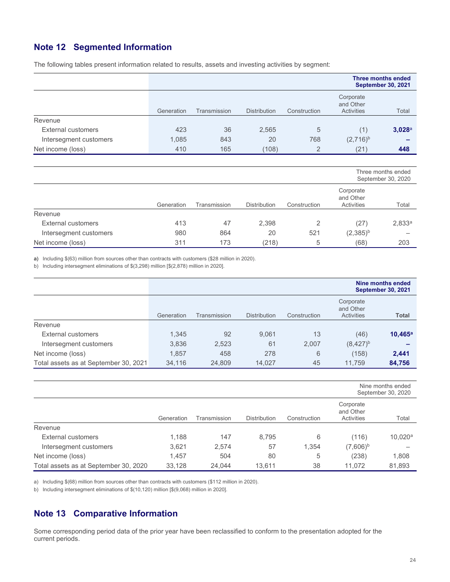## Note 12 Segmented Information

The following tables present information related to results, assets and investing activities by segment:

|                        |            |              |                     |              |                                             | <b>Three months ended</b><br><b>September 30, 2021</b> |
|------------------------|------------|--------------|---------------------|--------------|---------------------------------------------|--------------------------------------------------------|
|                        | Generation | Transmission | <b>Distribution</b> | Construction | Corporate<br>and Other<br><b>Activities</b> | Total                                                  |
| Revenue                |            |              |                     |              |                                             |                                                        |
| External customers     | 423        | 36           | 2,565               | 5            | (1)                                         | 3,028a                                                 |
| Intersegment customers | 1,085      | 843          | 20                  | 768          | $(2,716)^{b}$                               |                                                        |
| Net income (loss)      | 410        | 165          | (108)               | 2            | (21)                                        | 448                                                    |

|                        |            |              |                     |              |                                      | Three months ended<br>September 30, 2020 |
|------------------------|------------|--------------|---------------------|--------------|--------------------------------------|------------------------------------------|
|                        | Generation | Transmission | <b>Distribution</b> | Construction | Corporate<br>and Other<br>Activities | Total                                    |
| Revenue                |            |              |                     |              |                                      |                                          |
| External customers     | 413        | 47           | 2,398               | 2            | (27)                                 | 2,833a                                   |
| Intersegment customers | 980        | 864          | 20                  | 521          | $(2,385)^{b}$                        |                                          |
| Net income (loss)      | 311        | 173          | (218)               | 5            | (68)                                 | 203                                      |

a) Including \$(63) million from sources other than contracts with customers (\$28 million in 2020).

b) Including intersegment eliminations of \$(3,298) million [\$(2,878) million in 2020].

|                                       |            |              |                     |              |                                             | Nine months ended<br><b>September 30, 2021</b> |
|---------------------------------------|------------|--------------|---------------------|--------------|---------------------------------------------|------------------------------------------------|
|                                       | Generation | Transmission | <b>Distribution</b> | Construction | Corporate<br>and Other<br><b>Activities</b> | <b>Total</b>                                   |
| Revenue                               |            |              |                     |              |                                             |                                                |
| External customers                    | 1,345      | 92           | 9,061               | 13           | (46)                                        | $10,465^{\circ}$                               |
| Intersegment customers                | 3,836      | 2,523        | 61                  | 2,007        | $(8,427)^{b}$                               |                                                |
| Net income (loss)                     | 1.857      | 458          | 278                 | 6            | (158)                                       | 2,441                                          |
| Total assets as at September 30, 2021 | 34.116     | 24,809       | 14.027              | 45           | 11.759                                      | 84,756                                         |

|                                       |            |              |                     |              |                                      | Nine months ended<br>September 30, 2020 |
|---------------------------------------|------------|--------------|---------------------|--------------|--------------------------------------|-----------------------------------------|
|                                       | Generation | Transmission | <b>Distribution</b> | Construction | Corporate<br>and Other<br>Activities | Total                                   |
| Revenue                               |            |              |                     |              |                                      |                                         |
| External customers                    | 1,188      | 147          | 8,795               | 6            | (116)                                | $10,020^a$                              |
| Intersegment customers                | 3,621      | 2,574        | 57                  | 1,354        | $(7,606)^{b}$                        |                                         |
| Net income (loss)                     | 1.457      | 504          | 80                  | 5            | (238)                                | 1,808                                   |
| Total assets as at September 30, 2020 | 33.128     | 24.044       | 13.611              | 38           | 11.072                               | 81,893                                  |

a) Including \$(68) million from sources other than contracts with customers (\$112 million in 2020).

b) Including intersegment eliminations of \$(10,120) million [\$(9,068) million in 2020].

## Note 13 Comparative Information

Some corresponding period data of the prior year have been reclassified to conform to the presentation adopted for the current periods.